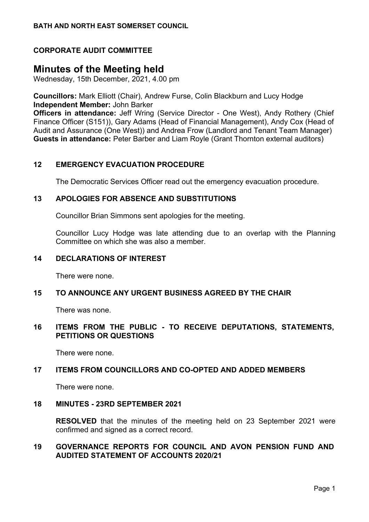# **CORPORATE AUDIT COMMITTEE**

# **Minutes of the Meeting held**

Wednesday, 15th December, 2021, 4.00 pm

**Councillors:** Mark Elliott (Chair), Andrew Furse, Colin Blackburn and Lucy Hodge **Independent Member:** John Barker

**Officers in attendance:** Jeff Wring (Service Director - One West), Andy Rothery (Chief Finance Officer (S151)), Gary Adams (Head of Financial Management), Andy Cox (Head of Audit and Assurance (One West)) and Andrea Frow (Landlord and Tenant Team Manager) **Guests in attendance:** Peter Barber and Liam Royle (Grant Thornton external auditors)

# **12 EMERGENCY EVACUATION PROCEDURE**

The Democratic Services Officer read out the emergency evacuation procedure.

#### **13 APOLOGIES FOR ABSENCE AND SUBSTITUTIONS**

Councillor Brian Simmons sent apologies for the meeting.

Councillor Lucy Hodge was late attending due to an overlap with the Planning Committee on which she was also a member.

# **14 DECLARATIONS OF INTEREST**

There were none.

#### **15 TO ANNOUNCE ANY URGENT BUSINESS AGREED BY THE CHAIR**

There was none.

# **16 ITEMS FROM THE PUBLIC - TO RECEIVE DEPUTATIONS, STATEMENTS, PETITIONS OR QUESTIONS**

There were none.

### **17 ITEMS FROM COUNCILLORS AND CO-OPTED AND ADDED MEMBERS**

There were none.

#### **18 MINUTES - 23RD SEPTEMBER 2021**

**RESOLVED** that the minutes of the meeting held on 23 September 2021 were confirmed and signed as a correct record.

# **19 GOVERNANCE REPORTS FOR COUNCIL AND AVON PENSION FUND AND AUDITED STATEMENT OF ACCOUNTS 2020/21**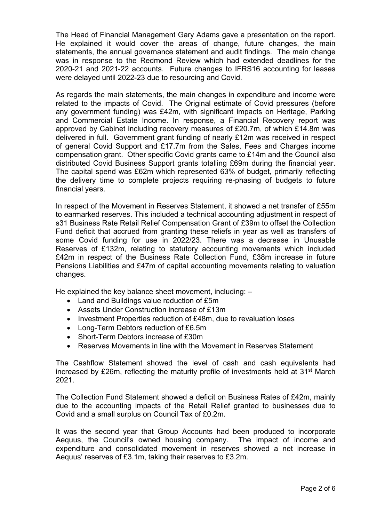The Head of Financial Management Gary Adams gave a presentation on the report. He explained it would cover the areas of change, future changes, the main statements, the annual governance statement and audit findings. The main change was in response to the Redmond Review which had extended deadlines for the 2020-21 and 2021-22 accounts. Future changes to IFRS16 accounting for leases were delayed until 2022-23 due to resourcing and Covid.

As regards the main statements, the main changes in expenditure and income were related to the impacts of Covid. The Original estimate of Covid pressures (before any government funding) was £42m, with significant impacts on Heritage, Parking and Commercial Estate Income. In response, a Financial Recovery report was approved by Cabinet including recovery measures of £20.7m, of which £14.8m was delivered in full. Government grant funding of nearly £12m was received in respect of general Covid Support and £17.7m from the Sales, Fees and Charges income compensation grant. Other specific Covid grants came to £14m and the Council also distributed Covid Business Support grants totalling £69m during the financial year. The capital spend was £62m which represented 63% of budget, primarily reflecting the delivery time to complete projects requiring re-phasing of budgets to future financial years.

In respect of the Movement in Reserves Statement, it showed a net transfer of £55m to earmarked reserves. This included a technical accounting adjustment in respect of s31 Business Rate Retail Relief Compensation Grant of £39m to offset the Collection Fund deficit that accrued from granting these reliefs in year as well as transfers of some Covid funding for use in 2022/23. There was a decrease in Unusable Reserves of £132m, relating to statutory accounting movements which included £42m in respect of the Business Rate Collection Fund, £38m increase in future Pensions Liabilities and £47m of capital accounting movements relating to valuation changes.

He explained the key balance sheet movement, including: –

- Land and Buildings value reduction of £5m
- Assets Under Construction increase of £13m
- Investment Properties reduction of £48m, due to revaluation loses
- Long-Term Debtors reduction of £6.5m
- Short-Term Debtors increase of £30m
- Reserves Movements in line with the Movement in Reserves Statement

The Cashflow Statement showed the level of cash and cash equivalents had increased by £26m, reflecting the maturity profile of investments held at 31st March 2021.

The Collection Fund Statement showed a deficit on Business Rates of £42m, mainly due to the accounting impacts of the Retail Relief granted to businesses due to Covid and a small surplus on Council Tax of £0.2m.

It was the second year that Group Accounts had been produced to incorporate Aequus, the Council's owned housing company. The impact of income and expenditure and consolidated movement in reserves showed a net increase in Aequus' reserves of £3.1m, taking their reserves to £3.2m.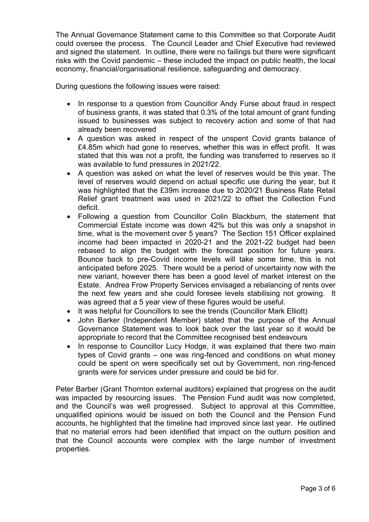The Annual Governance Statement came to this Committee so that Corporate Audit could oversee the process. The Council Leader and Chief Executive had reviewed and signed the statement. In outline, there were no failings but there were significant risks with the Covid pandemic – these included the impact on public health, the local economy, financial/organisational resilience, safeguarding and democracy.

During questions the following issues were raised:

- In response to a question from Councillor Andy Furse about fraud in respect of business grants, it was stated that 0.3% of the total amount of grant funding issued to businesses was subject to recovery action and some of that had already been recovered
- A question was asked in respect of the unspent Covid grants balance of £4.85m which had gone to reserves, whether this was in effect profit. It was stated that this was not a profit, the funding was transferred to reserves so it was available to fund pressures in 2021/22.
- A question was asked on what the level of reserves would be this year. The level of reserves would depend on actual specific use during the year, but it was highlighted that the £39m increase due to 2020/21 Business Rate Retail Relief grant treatment was used in 2021/22 to offset the Collection Fund deficit.
- Following a question from Councillor Colin Blackburn, the statement that Commercial Estate income was down 42% but this was only a snapshot in time, what is the movement over 5 years? The Section 151 Officer explained income had been impacted in 2020-21 and the 2021-22 budget had been rebased to align the budget with the forecast position for future years. Bounce back to pre-Covid income levels will take some time, this is not anticipated before 2025. There would be a period of uncertainty now with the new variant, however there has been a good level of market interest on the Estate. Andrea Frow Property Services envisaged a rebalancing of rents over the next few years and she could foresee levels stabilising not growing. It was agreed that a 5 year view of these figures would be useful.
- It was helpful for Councillors to see the trends (Councillor Mark Elliott)
- John Barker (Independent Member) stated that the purpose of the Annual Governance Statement was to look back over the last year so it would be appropriate to record that the Committee recognised best endeavours
- In response to Councillor Lucy Hodge, it was explained that there two main types of Covid grants – one was ring-fenced and conditions on what money could be spent on were specifically set out by Government, non ring-fenced grants were for services under pressure and could be bid for.

Peter Barber (Grant Thornton external auditors) explained that progress on the audit was impacted by resourcing issues. The Pension Fund audit was now completed, and the Council's was well progressed. Subject to approval at this Committee, unqualified opinions would be issued on both the Council and the Pension Fund accounts, he highlighted that the timeline had improved since last year. He outlined that no material errors had been identified that impact on the outturn position and that the Council accounts were complex with the large number of investment properties.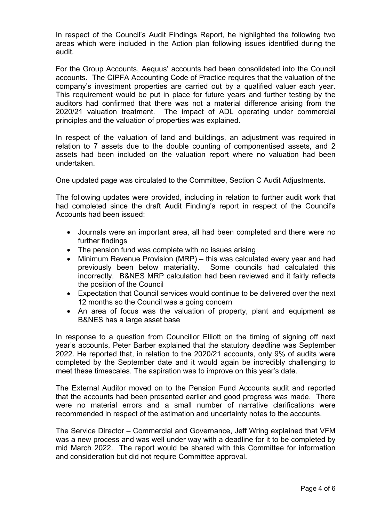In respect of the Council's Audit Findings Report, he highlighted the following two areas which were included in the Action plan following issues identified during the audit.

For the Group Accounts, Aequus' accounts had been consolidated into the Council accounts. The CIPFA Accounting Code of Practice requires that the valuation of the company's investment properties are carried out by a qualified valuer each year. This requirement would be put in place for future years and further testing by the auditors had confirmed that there was not a material difference arising from the 2020/21 valuation treatment. The impact of ADL operating under commercial principles and the valuation of properties was explained.

In respect of the valuation of land and buildings, an adjustment was required in relation to 7 assets due to the double counting of componentised assets, and 2 assets had been included on the valuation report where no valuation had been undertaken.

One updated page was circulated to the Committee, Section C Audit Adjustments.

The following updates were provided, including in relation to further audit work that had completed since the draft Audit Finding's report in respect of the Council's Accounts had been issued:

- Journals were an important area, all had been completed and there were no further findings
- The pension fund was complete with no issues arising
- Minimum Revenue Provision (MRP) this was calculated every year and had previously been below materiality. Some councils had calculated this incorrectly. B&NES MRP calculation had been reviewed and it fairly reflects the position of the Council
- Expectation that Council services would continue to be delivered over the next 12 months so the Council was a going concern
- An area of focus was the valuation of property, plant and equipment as B&NES has a large asset base

In response to a question from Councillor Elliott on the timing of signing off next year's accounts, Peter Barber explained that the statutory deadline was September 2022. He reported that, in relation to the 2020/21 accounts, only 9% of audits were completed by the September date and it would again be incredibly challenging to meet these timescales. The aspiration was to improve on this year's date.

The External Auditor moved on to the Pension Fund Accounts audit and reported that the accounts had been presented earlier and good progress was made. There were no material errors and a small number of narrative clarifications were recommended in respect of the estimation and uncertainty notes to the accounts.

The Service Director – Commercial and Governance, Jeff Wring explained that VFM was a new process and was well under way with a deadline for it to be completed by mid March 2022. The report would be shared with this Committee for information and consideration but did not require Committee approval.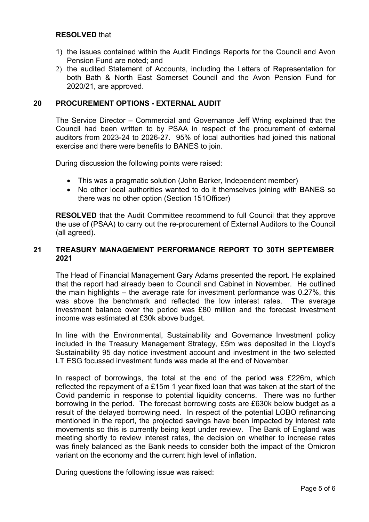# **RESOLVED** that

- 1) the issues contained within the Audit Findings Reports for the Council and Avon Pension Fund are noted; and
- 2) the audited Statement of Accounts, including the Letters of Representation for both Bath & North East Somerset Council and the Avon Pension Fund for 2020/21, are approved.

## **20 PROCUREMENT OPTIONS - EXTERNAL AUDIT**

The Service Director – Commercial and Governance Jeff Wring explained that the Council had been written to by PSAA in respect of the procurement of external auditors from 2023-24 to 2026-27. 95% of local authorities had joined this national exercise and there were benefits to BANES to join.

During discussion the following points were raised:

- This was a pragmatic solution (John Barker, Independent member)
- No other local authorities wanted to do it themselves joining with BANES so there was no other option (Section 151Officer)

**RESOLVED** that the Audit Committee recommend to full Council that they approve the use of (PSAA) to carry out the re-procurement of External Auditors to the Council (all agreed).

# **21 TREASURY MANAGEMENT PERFORMANCE REPORT TO 30TH SEPTEMBER 2021**

The Head of Financial Management Gary Adams presented the report. He explained that the report had already been to Council and Cabinet in November. He outlined the main highlights – the average rate for investment performance was 0.27%, this was above the benchmark and reflected the low interest rates. The average investment balance over the period was £80 million and the forecast investment income was estimated at £30k above budget.

In line with the Environmental, Sustainability and Governance Investment policy included in the Treasury Management Strategy, £5m was deposited in the Lloyd's Sustainability 95 day notice investment account and investment in the two selected LT ESG focussed investment funds was made at the end of November.

In respect of borrowings, the total at the end of the period was £226m, which reflected the repayment of a £15m 1 year fixed loan that was taken at the start of the Covid pandemic in response to potential liquidity concerns. There was no further borrowing in the period. The forecast borrowing costs are £630k below budget as a result of the delayed borrowing need. In respect of the potential LOBO refinancing mentioned in the report, the projected savings have been impacted by interest rate movements so this is currently being kept under review. The Bank of England was meeting shortly to review interest rates, the decision on whether to increase rates was finely balanced as the Bank needs to consider both the impact of the Omicron variant on the economy and the current high level of inflation.

During questions the following issue was raised: